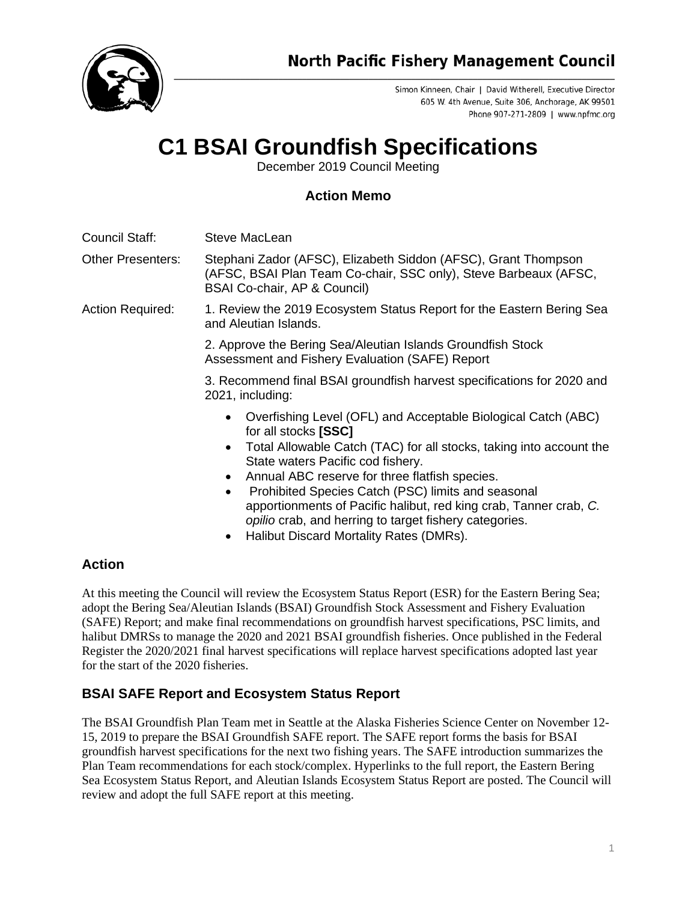

Simon Kinneen, Chair | David Witherell, Executive Director 605 W. 4th Avenue, Suite 306, Anchorage, AK 99501 Phone 907-271-2809 | www.npfmc.org

# **C1 BSAI Groundfish Specifications**

December 2019 Council Meeting

## **Action Memo**

Council Staff: Steve MacLean

Other Presenters: Stephani Zador (AFSC), Elizabeth Siddon (AFSC), Grant Thompson (AFSC, BSAI Plan Team Co-chair, SSC only), Steve Barbeaux (AFSC, BSAI Co-chair, AP & Council)

Action Required: 1. Review the 2019 Ecosystem Status Report for the Eastern Bering Sea and Aleutian Islands.

> 2. Approve the Bering Sea/Aleutian Islands Groundfish Stock Assessment and Fishery Evaluation (SAFE) Report

3. Recommend final BSAI groundfish harvest specifications for 2020 and 2021, including:

- Overfishing Level (OFL) and Acceptable Biological Catch (ABC) for all stocks **[SSC]**
- Total Allowable Catch (TAC) for all stocks, taking into account the State waters Pacific cod fishery.
- Annual ABC reserve for three flatfish species.
- Prohibited Species Catch (PSC) limits and seasonal apportionments of Pacific halibut, red king crab, Tanner crab, *C. opilio* crab, and herring to target fishery categories.
- Halibut Discard Mortality Rates (DMRs).

## **Action**

At this meeting the Council will review the Ecosystem Status Report (ESR) for the Eastern Bering Sea; adopt the Bering Sea/Aleutian Islands (BSAI) Groundfish Stock Assessment and Fishery Evaluation (SAFE) Report; and make final recommendations on groundfish harvest specifications, PSC limits, and halibut DMRSs to manage the 2020 and 2021 BSAI groundfish fisheries. Once published in the Federal Register the 2020/2021 final harvest specifications will replace harvest specifications adopted last year for the start of the 2020 fisheries.

## **BSAI SAFE Report and Ecosystem Status Report**

The BSAI Groundfish Plan Team met in Seattle at the Alaska Fisheries Science Center on November 12- 15, 2019 to prepare the BSAI Groundfish SAFE report. The SAFE report forms the basis for BSAI groundfish harvest specifications for the next two fishing years. The SAFE introduction summarizes the Plan Team recommendations for each stock/complex. Hyperlinks to the full report, the Eastern Bering Sea Ecosystem Status Report, and Aleutian Islands Ecosystem Status Report are posted. The Council will review and adopt the full SAFE report at this meeting.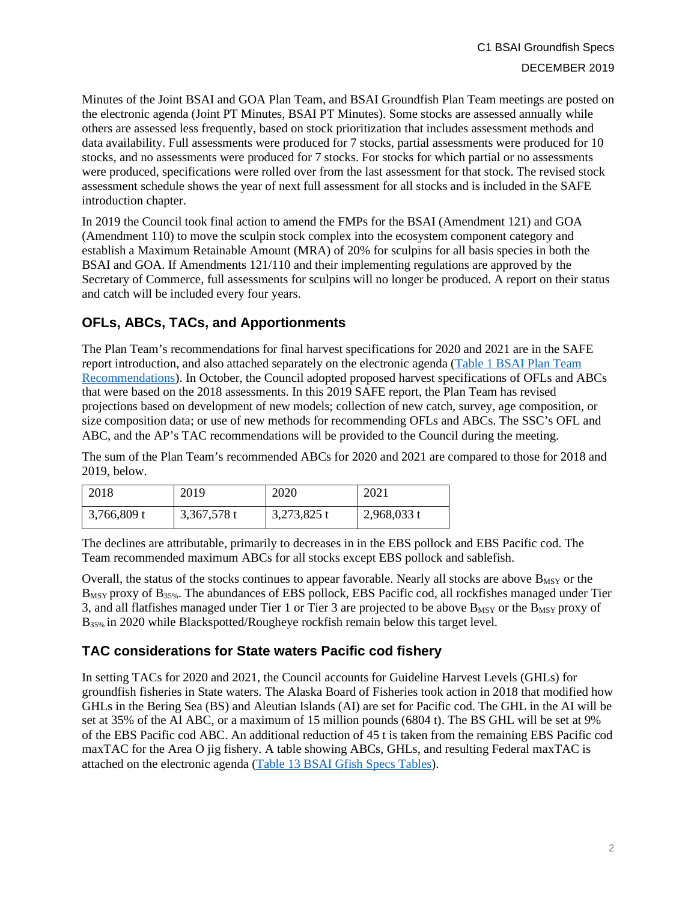Minutes of the Joint BSAI and GOA Plan Team, and BSAI Groundfish Plan Team meetings are posted on the electronic agenda (Joint PT Minutes, BSAI PT Minutes). Some stocks are assessed annually while others are assessed less frequently, based on stock prioritization that includes assessment methods and data availability. Full assessments were produced for 7 stocks, partial assessments were produced for 10 stocks, and no assessments were produced for 7 stocks. For stocks for which partial or no assessments were produced, specifications were rolled over from the last assessment for that stock. The revised stock assessment schedule shows the year of next full assessment for all stocks and is included in the SAFE introduction chapter.

In 2019 the Council took final action to amend the FMPs for the BSAI (Amendment 121) and GOA (Amendment 110) to move the sculpin stock complex into the ecosystem component category and establish a Maximum Retainable Amount (MRA) of 20% for sculpins for all basis species in both the BSAI and GOA. If Amendments 121/110 and their implementing regulations are approved by the Secretary of Commerce, full assessments for sculpins will no longer be produced. A report on their status and catch will be included every four years.

## **OFLs, ABCs, TACs, and Apportionments**

The Plan Team's recommendations for final harvest specifications for 2020 and 2021 are in the SAFE report introduction, and also attached separately on the electronic agenda [\(Table 1 BSAI Plan](https://meetings.npfmc.org/CommentReview/DownloadFile?p=041018fb-04be-4701-bccf-0b8ef8761ba8.xlsx&fileName=C1%20Table%201%20BSAI%20OFL%20ABC.xlsx) Team [Recommendations\)](https://meetings.npfmc.org/CommentReview/DownloadFile?p=9cddfd98-72ab-4a2e-973c-defac35172d1.xlsx&fileName=C1%20Table%201%20BSAI%20Plan%20Team%20Recommendations.xlsx). In October, the Council adopted proposed harvest specifications of OFLs and ABCs that were based on the 2018 assessments. In this 2019 SAFE report, the Plan Team has revised projections based on development of new models; collection of new catch, survey, age composition, or size composition data; or use of new methods for recommending OFLs and ABCs. The SSC's OFL and ABC, and the AP's TAC recommendations will be provided to the Council during the meeting.

The sum of the Plan Team's recommended ABCs for 2020 and 2021 are compared to those for 2018 and 2019, below.

| 2018          | 2019        | 2020        | 2021          |
|---------------|-------------|-------------|---------------|
| $3,766,809$ t | 3,367,578 t | 3,273,825 t | $2,968,033$ t |

The declines are attributable, primarily to decreases in in the EBS pollock and EBS Pacific cod. The Team recommended maximum ABCs for all stocks except EBS pollock and sablefish.

Overall, the status of the stocks continues to appear favorable. Nearly all stocks are above  $B_{MSY}$  or the B<sub>MSY</sub> proxy of B<sub>35%</sub>. The abundances of EBS pollock, EBS Pacific cod, all rockfishes managed under Tier 3, and all flatfishes managed under Tier 1 or Tier 3 are projected to be above B<sub>MSY</sub> or the B<sub>MSY</sub> proxy of B<sub>35%</sub> in 2020 while Blackspotted/Rougheye rockfish remain below this target level.

## **TAC considerations for State waters Pacific cod fishery**

In setting TACs for 2020 and 2021, the Council accounts for Guideline Harvest Levels (GHLs) for groundfish fisheries in State waters. The Alaska Board of Fisheries took action in 2018 that modified how GHLs in the Bering Sea (BS) and Aleutian Islands (AI) are set for Pacific cod. The GHL in the AI will be set at 35% of the AI ABC, or a maximum of 15 million pounds (6804 t). The BS GHL will be set at 9% of the EBS Pacific cod ABC. An additional reduction of 45 t is taken from the remaining EBS Pacific cod maxTAC for the Area O jig fishery. A table showing ABCs, GHLs, and resulting Federal maxTAC is attached on the electronic agenda [\(Table 13 BSAI Gfish Specs Tables\)](https://meetings.npfmc.org/CommentReview/DownloadFile?p=3452663c-7feb-4f21-b8cb-7b97c9c59fc7.pdf&fileName=C1%20BSAI%20Gfish%20Specs%20Tables.pdf).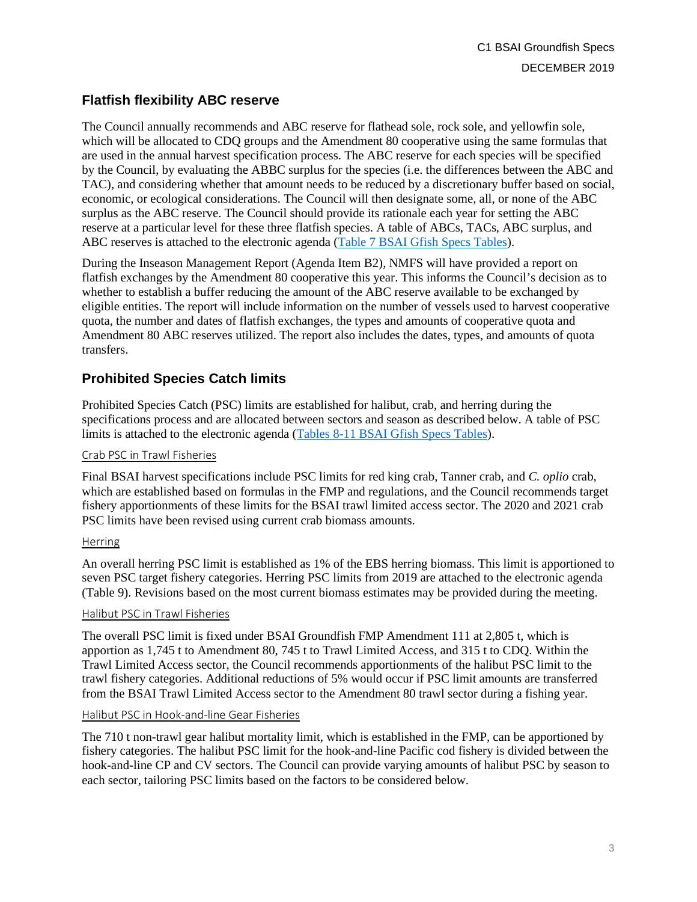## **Flatfish flexibility ABC reserve**

The Council annually recommends and ABC reserve for flathead sole, rock sole, and yellowfin sole, which will be allocated to CDQ groups and the Amendment 80 cooperative using the same formulas that are used in the annual harvest specification process. The ABC reserve for each species will be specified by the Council, by evaluating the ABBC surplus for the species (i.e. the differences between the ABC and TAC), and considering whether that amount needs to be reduced by a discretionary buffer based on social, economic, or ecological considerations. The Council will then designate some, all, or none of the ABC surplus as the ABC reserve. The Council should provide its rationale each year for setting the ABC reserve at a particular level for these three flatfish species. A table of ABCs, TACs, ABC surplus, and ABC reserves is attached to the electronic agenda [\(Table 7 BSAI Gfish Specs Tables\)](https://meetings.npfmc.org/CommentReview/DownloadFile?p=3452663c-7feb-4f21-b8cb-7b97c9c59fc7.pdf&fileName=C1%20BSAI%20Gfish%20Specs%20Tables.pdf).

During the Inseason Management Report (Agenda Item B2), NMFS will have provided a report on flatfish exchanges by the Amendment 80 cooperative this year. This informs the Council's decision as to whether to establish a buffer reducing the amount of the ABC reserve available to be exchanged by eligible entities. The report will include information on the number of vessels used to harvest cooperative quota, the number and dates of flatfish exchanges, the types and amounts of cooperative quota and Amendment 80 ABC reserves utilized. The report also includes the dates, types, and amounts of quota transfers.

### **Prohibited Species Catch limits**

Prohibited Species Catch (PSC) limits are established for halibut, crab, and herring during the specifications process and are allocated between sectors and season as described below. A table of PSC limits is attached to the electronic agenda [\(Tables 8-11 BSAI Gfish Specs Tables\)](https://meetings.npfmc.org/CommentReview/DownloadFile?p=3452663c-7feb-4f21-b8cb-7b97c9c59fc7.pdf&fileName=C1%20BSAI%20Gfish%20Specs%20Tables.pdf).

#### Crab PSC in Trawl Fisheries

Final BSAI harvest specifications include PSC limits for red king crab, Tanner crab, and *C. oplio* crab, which are established based on formulas in the FMP and regulations, and the Council recommends target fishery apportionments of these limits for the BSAI trawl limited access sector. The 2020 and 2021 crab PSC limits have been revised using current crab biomass amounts.

#### Herring

An overall herring PSC limit is established as 1% of the EBS herring biomass. This limit is apportioned to seven PSC target fishery categories. Herring PSC limits from 2019 are attached to the electronic agenda (Table 9). Revisions based on the most current biomass estimates may be provided during the meeting.

#### Halibut PSC in Trawl Fisheries

The overall PSC limit is fixed under BSAI Groundfish FMP Amendment 111 at 2,805 t, which is apportion as 1,745 t to Amendment 80, 745 t to Trawl Limited Access, and 315 t to CDQ. Within the Trawl Limited Access sector, the Council recommends apportionments of the halibut PSC limit to the trawl fishery categories. Additional reductions of 5% would occur if PSC limit amounts are transferred from the BSAI Trawl Limited Access sector to the Amendment 80 trawl sector during a fishing year.

#### Halibut PSC in Hook-and-line Gear Fisheries

The 710 t non-trawl gear halibut mortality limit, which is established in the FMP, can be apportioned by fishery categories. The halibut PSC limit for the hook-and-line Pacific cod fishery is divided between the hook-and-line CP and CV sectors. The Council can provide varying amounts of halibut PSC by season to each sector, tailoring PSC limits based on the factors to be considered below.